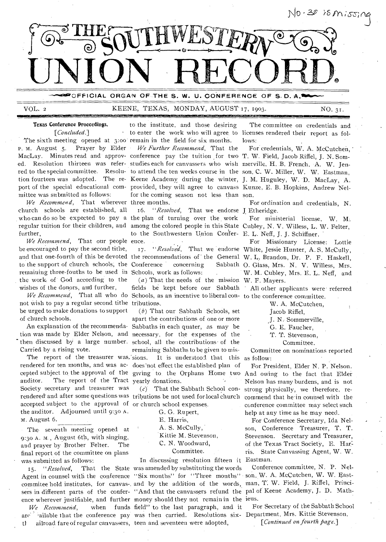

OFFICIAL ORGAN OF THE S. W. U. CONFERENCE OF S.D. A.1

## VOL. 2 KEENE, TEXAS, MONDAY, AUGUST 17, 1903. NO. 31. *SIUMMi=s7ZESSEVE2224.2=i2IFESCISE*

# Texas Conference Proceedings. *[Concluded.]*

The sixth meeting opened at 3:00 remain in the field for six months. P. M. August 5. Prayer by Elder mittee was submitted as follows:

*We Recommend,* That wherever three months. church schools are established, all who can do so be expected to pay a the plan of turning over the work regular tuition for their children, and among the colored people in this State Cubley, N. V. Willess, L. W. Felter, further,

*We Recommend,* That our people ence. be encouraged to pay the second tithe, to the support of church schools, the Conference concerning Sabbath remaining three-fouths to be used in Schools, work as follows: the work of God according to the wishes of the donors, and further,

not wish to pay a regular second tithe tributions. be urged to make donations to support of church schools.

Carried by a rising vote.

The report of the treasurer was, sions. rendered for ten months, and was ac- does not effect the established plan of cepted subject to the approval of the giving to the Orphans Home two And owing to the fact that Elder auditor. The report of the Tract yearly donations. Society secretary and treasurer was rendered and after some questions was tributions be not used for local church commend that he in counsel with the accepted subject to the approval of or church school expenses. the auditor. Adjourned until 9:3o A. m. August 6.

The seventh meeting opened at 9:30 A. M., August 6th, with singing, and prayer by Brother Felter. The final report of the committee on plans was submitted as follows:

Agent in counsel with the conference "Six months" for "Three months" son, W. A. McCutchen, W. W. Eastcommitee hold institutes, for canvas-and by the addition of the words, man, T: W. Field, J. Riffel, Princisers in different parts of the confer-"And that the canvassers refund the pal of Keene Academy, J. D. Mathence wherever justifiable, and further money should they not remain in the ieus.

to enter the work who will agree to licenses rendered their report as folto the institute, and those desiring

MacLay. Minutes read and approv- conference pay the tuition for two T.W. Field, Jacob Riffel, J.N. Somed. Resolution thirteen was refer-studieseachfforcanvassers who wish merville, H.B. French, A.W. Jenred to the special committee. Resolu- to attend the ten weeks course in the son, C. W. Miller, W. W. Eastman, tion fourteen was adopted. The re- Keene Academy during the winter, J. M. Huguley, W. D. MacLay, A. port of the special educational com- provided, they will agree to canvass Kunze, E. B. Hopkins, Andrew Nelfor the coming season not less than son. *We Further Recommend,* That the

> 16. "Resolved, That we endorse J Etheridge. to the Southwestern Union Confer- E. L. Neff, J. J. Schiffner.

We Recommend, That all who do Schools, as an incentive to liberal con- to the conference committee.  $(a)$  That the needs of the mission W. F. Mayers. fields be kept before our Sabbath All other applicants were referred

An explanation of the recommenda-Sabbaths in each quater, as may be tion was made by Elder Nelson, and necessary, for the expenses of the then discussed by a large number. school, all the contributions• of the was.'sions. It is understood that this as follow: (b) That our Sabbath Schools, set apart the contributions of one or more remaining Sabbaths to be given to mis-

 $(c)$ . That the Sabbath School con-

G. G. Rupert,

E. Harris,

A. S. McCully,

Kittie M. Stevenson,

C. N. Woodward,

Committee.

*We Recommend,* when funds field" to the last paragraph, and it arc<sup>2</sup> ailable that the conference pay was then carried. Resolutions six- Department, Mrs. Kittie Stevenson. tl ailroad fare of regular canvassers, teen and seventeen were adopted, In discussing resolution fifteen it Eastman. 15. *"Resolved,* That the State was amended by substituting the words

The committee on credentials and lows:

For credentials, W. A. McCutchen, '

For ordination and credentials, N.

For ministerial license, W. M.

and that one-fourth of this be devoted the recommendations of the General W. L. Brandon, Dr. P. F. Haskell, For Missionary License: Lottie 17. "Resolved, That we endorse White, Jessie Hunter, A. S. McCully, Sabbath O. Glass, Mrs. N. V. Willess, Mrs. W. M. Cubley, Mrs. E. L. Neff. and

W. A. McCutchen,

Jacob Riffel,

J. N. Sommerville,

G. E. Faucher,

T. T. Stevenson,

Committee.

Committee on nominations reported

For President, Elder N. P. Nelson. Nelson has many burdens, and is not strong physically, we therefore, reconference committee may select such help at any time as he may need.

For Conference Secretary, Ida Nelson, Conference Treasurer, T. T. Stevenson. Secretary and Treasurer, of the Texas Tract Society, E. Har: ris. State Canvassing Agent, W. W.

Conference committee, N. P. Nel-

For Secretary of the Sabbath School

*[Continued on fourth page.]*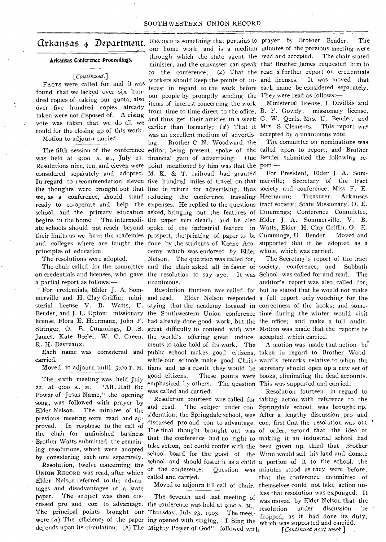# Arkansas Department.

# **Arkansas Conference Proceedings.**

# *[Continued.]*

FACTS were called for, and it was found that we lacked over six hundred copies of taking our quota, also over five hundred copies already taken were not disposed of. A rising vote was taken that we do all we could for the closing up of this work. Motion to adjourn carried.

considered separately and adopted. M. K. & T. railroad had granted principles of education.

The resolutions were adopted.

a partial report as follows:—

For credentials, Elder J. A. Sommerville and H. Clay Griffin; mini- and read. R. H. Devreaux.

carried.

Moved to adjourn until 5:00 P. M.

The sixth meeting was held July 22, at 9:00 A. M. "All , Hail the Power of Jesus Name," the opening song, was followed with prayer by Elder Nelson. The minutes of the previous meeting were read and approved. In response to the call of the chair for unfinished business Brother Watts submitted the remaining resolutions, which were adopted by considering each one separately.

cussed pro and con to advantage. the conference was held at  $9:00$  A. M., depends upon its circulation; *(b)* The Mighty Power of God" followed with *[Continued next week.]* Resolution, twelve concerning the UNION RECORD was read, after which Elder Nelson referred to the advantages and disadvantages of a state paper. The subject was then dis-The principal points brought out Thursday, July 23, 1903. The meet-

RECORD is something that pertains to prayer by Brother Bender. The our home work, and is a medium minutes of the-previous meeting were through which the state agent, the read and accepted. The chair stated minister, and the canvasser can speak that Brother James requested him to to the conference; (c) That the read a further report on credentials workers should keep the points of in- and licenses. It was moved that terest in regard to the work before each name be considered separately. our people by promptly sending the They were read as follows: items of interest concerning the work .Ministerial license, J. Divilbis and from time to time direct to the office, B. F. Gowdy; missionary license, and thus get their articles in a week G. W. Quals, Mrs. U. Bender, and earlier than formerly; (d) That it Mrs. S. Clements. This report was was an excellent medium of advertis- accepted by a unanimous vote. ing. Brother C. N. Woodward, the The committee on nominations was The fifth session of the conference editor, being present, spoke of the called upon to report, and Brother was held at 9:00 A. M., July 21. financial gain of advertising. One Bender submitted the following re-Resolutions nine, ten, and eleven were point mentioned by him was that the port:-In regard to recommendation eleven five hundred miles of travel on that merville; Secretary of the tract the thoughts were brought out that line in return for advertising, thus society and conference, Miss F. E. we, as a conference, should stand reducing the conference traveling Heermann; Treasurer, Arkansas ready to co-operate and help the expenses. He replied to the questions tract society; State Missionary, O. E. school, and the primary education asked, bringing out the features of Cummings; Conference Committee, begins in the home. The intermedi- the paper very clearly; and he also Elder J. A. Sommerville, V. B. ate schools should not reach beyond spoke of the industrial feature in Watts, Elder H. Clay Griffin, O. E. their limits as we have the academies prospect, the printing of paper to be Cummings, U. Bender. Moved and and colleges where are taught the done by the students of Keene Aca- supported that it be adopted as a demy, which was endorsed by Elder whole, which was carried. Nelson. The question was called for, The chair called for the committee and the chair asked all in favor of society, conference, and Sabbath on credentials and licenses, who gave the resolution to say aye. It was School, was called for and read. The unanimous.

sterial license, V. B. Watts, U. saying that the academy located in correctness of the books; and some-James, Kate Beeler, W. C. Green, the world's offering great induce- accepted, which carried. ments to take hold of its work. The Each name was considered and public school makes good citizens, taken in regard to Brother Woodemphasized by others. The question This was supported and carried. was called and carried.

> of the conference. called and carried.

The seventh and last meeting of

For President, Elder J. A. Som-

Resolution thirteen was called for but he stated that he would not make and read. Elder Nelson responded a full report, only vouching for the Bender, and J. L. Upton; missionary the Southwestern Union conference time during the winter would visit license, Flora E. Heermann, John F. had already done good work, but the the office; and make a full audit. Stringer, O. E. Cummings, D. S. great difficulty to contend with was Motion was made that the reports be The Secretary's report of the tract auditor's report was also .called for;

> while our schools make good Chris- ward's remarks relative to when the tians, and as a result they would be secretary should open up a new set of good citizens. These points were books, eliminating the dead accounts. A motion was made that action be

Resolution fourteen was called for taking action with reference to the and read. The subject under con-Springdale school, was brought up. sideration, the Springdale school, was After a lengthy discussion pro and discussed pro and con to advantage. con, first that the resolution was out The final thought brought out was of order, second that the idea of that the conference had no right to making it an industrial school had take action, but could confer with the been given up, third that Brother school board for the good of the Winn would sell his land and donate school, and should foster it as a child a portion of it to the school, the Moved to adjourn till call of chair. themselves could not take action un-The principal points brought out Thursday, July 23, 1903. The meet-<br>were *(a)* The efficiency of the paper ing opened with singing, "I Sing the which was supported and carried. Resolution fourteen, in regard to Question was minutes stood as they were before, that the conference committee of less that resolution was expunged. It was moved by Elder Nelson that the resolution under discussion be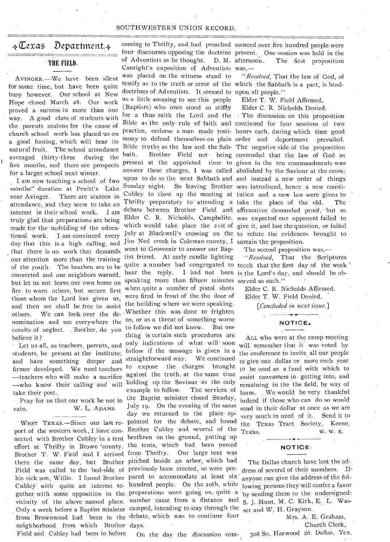## SOUTHWESTERN UNION RECORD.

# $\leftarrow$ Cexas Department. $\leftarrow$

# THE FIELD.

AVINGER.—We have been silent for some time, but have been quite busy however.. Our school at New Hope closed March 28. Our work proved a success in more than one way. A good class of students with the parents zealous for the cause of church school work has placed us on a good footing, which will bear its natural fruit. The school attendance averaged thirty-three during the five months, and there are prospects for a larger school next winter.

I am now teaching a school of two months" duration at Pruitt's Lake near Avinger. There are sixteen in attendance, and they seem to take an interest in their school work. I am truly glad that preparations are being made for the unfolding of the educational work. I am convinced every day that this is a high calling, and that there is no work that demands our attention more than the training of the youth. The heathen are to be converted and our neighbors warned, but let us not leave our own home on fire to warn others, but secure first those whom the Lord has given us, and then we shall be free to assist Others. We can look over the denomination and see everywhere the results of neglect. , Brother, do you believe it ?

Let us all, as teachers, parents, and students, be present at the institute; and have something deeper and firmer developed. We need teachers —teachers who will make a sacrifice —who know their calling and will take their post..

vain.

Brother T. W. Field and I arrived from Thrifty. neighborhood from which Brother days. Field and Cubley had been to before

four discourses opposing the doctrine present. One session was held in the of Adventists as he thought. D. M. Canright's exposition of Adventists was, was placed on the witness stand to testify as to the truth or error of the which the Sabbath is a part, is binddoctrines of Adventists. It seemed to upon. all people." us a little amusing to see this people (Baptists) who once stood so stiffly for a thus saith the Lord and the The discussion on this proposition Bible as the only rule of faith and continued for four sessions of two practice, endorse a man made testi-hours each, during which time good. mony to defend themselves on plain order and deportment prevailed. Bible truths as the law and the Sab-The' negative side of the proposition bath. Brother Field not being contended that the law of God as present at the appointed time to given in the ten commandments was answer these charges, I was called abolished by the Saviour at the cross; Pray for us that our work be not in the Baptist minister closed Sunday, upon to do so the next Sabbath and and instead a new order of things Sunday night. So leaving Brother was introduced, hence a new consti-Cubley to close up the meeting at tution and a new law were given to debate between Brother Field and affirmative demanded proof, but as Elder C. R. Nicholds, Campbelite, was expected our opponent failed to which would take place the 21st of give it, and lost the question, or failed July at Blackwell's crossing on the to refute the evidences brought to Jim Ned creek in Coleman county, I sustain the proposition. quite a number had congregated to teach that the first day of the week ' hear the reply. I had not been is the Lord's day, and should be obspeaking more than fifteen minutes served as such." went to Grosvenir to answer our Baptist friend. At early candle lighting when quite a number of pistol shots were fired in front of the the door of the building where we were speaking. Whether this was done to' frighten us, or as a threat of something worse to follow we did not know. But one thing is certain such procedures are only indications of what will soon follow if the message is given in a straightforward way. We continued to expose the charges brought against the truth, at the same time holding up the Saviour as the only example to follow. The services of W. L. ADAMS. July 19. On the evening of the same day we returned to the place ap-WEST TEXAS.—Since our last re- pointed for the debate, and found port of the western work, I have con- Brother Cubley and several of the nected with Brother Cubley in a tent brethren on the ground, putting up effort at Thrifty in Brown 'county, the tents, which had been moved there the same day, but Brother pitched beside an arbor, which had Field was called to the bed-side of previously been erected, so were prehis sick son, Willie. I found Brother pared to accommodate at least six' Cubley with quite an interest to- hundred people. On the 2oth, while gether with some opposition in the preparations were going on, quite a vicinity of the above named place. number came from a distance and Only a week before a Baptist minister camped, intending to stay through the from ' BroWnwood had been in the debate, which was to continue four

coming.to Thrifty, and had. preached menced over five hundred people were The first proposition

*"Resolved,* That the law of God, of

Elder T. W. Field Affirmed.

Elder C. R. Nicholds Denied.

Thrifty preparatory to attending a take the place of the old. The

The second proposition was,—

"Resolved, That the Scriptures

Elder C. R. Nicholds Affirmed. Elder T. W. Field Denied.

*[Concluded in next issue.]* 

## **NOTICE.**

ALL who were at the camp meeting will remember that it was voted by the conference to invite all our people to give one • dollar or more each year to be used as a fund with which to assist canvassers in getting into, and remaining in the the field, by way of loans. We would be very thankful indeed if those who can do so would send in their dollar at once as we are -very much in need of it. Send it to the Texas Tract Society, Keene, Texas. w. w. E.

## **NOTICE.**

The Dallas church have lost the address of several of their members. If anyone can give the address of the following persons they will confer a favor by sending them to the undersigned: S. J. Hunt, M. C. Kirk, E. L. Wasser and W. H. Grayson.

> Mrs. A. E. Graham, Church Clerk,

On the day the discussion com- 308 So. Harwood St. Dallas, Tex.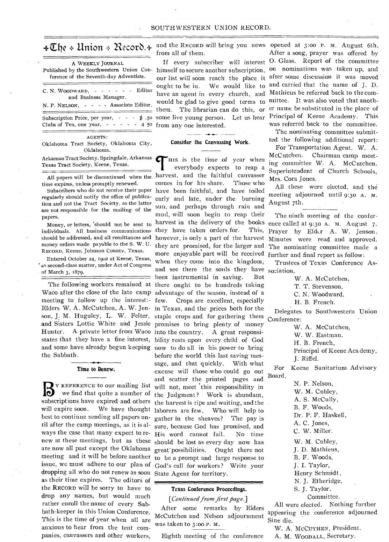| A WEEKLY JOURNAL<br>Published by the Southwestern Union Con-<br>ference of the Seventh-day Adventists.        |  |  |
|---------------------------------------------------------------------------------------------------------------|--|--|
| C. N. WOODWARD, $- - - - -$ Editor<br>and Business Manager.<br>N. P. NELSON, - - - - Associate Editor.        |  |  |
| Subscription Price, per year, $\cdot \cdot \cdot$ \$ .50<br>Clubs of Ten, one year, $- - - - 4$ 50<br>AGENTS: |  |  |

Oklahoma Tract Society, Oklahoma City, Oklahoma.

Arkansas Tract Society, Springdale, Arkansas Texas Tract Society, Keene, Texas.

All papers will be discontinued when the time expires, unless promptly renewed.

Subscribers who do not receive their paper regularly should notify the office of publication and not the Tract Society, as the latter are not responsible for the mailing of the papers.

Money, or letters, 'should not be sent to individuals. All business communications should be addressed, and all remittances and money orders made payable to the S. W. U. RECORD, Keene, Johnson County, Texas.

Entered October 24, 19oz at Keene, Texas, ' as second-class matter, under Act of Congress of March 3, 1879.

meeting to follow up the interest:- few. Hunter. A private letter from Waco into the country. A great responsithe Sabbath.

### **Time to Renew.**

**B** subscriptions have expired and others the harvest is ripe and waiting, and the are now all past except the Oklahoma great possibilities. Ought there not dropping all who do not renew as soon State Agent for territory. as their time expires. The editors of the RECORD will be sorry to have to drop any names, but would much rather enroll the name of every Sabbath-keeper in this Union Conference. This is the time of year when all are anxious to hear from the tent companies, canvassers and other workers,

 $\text{#}\mathbb{Z}$ he  $\text{#}$  Union  $\text{#}$   $\mathbb{R}$ ecord.  $\text{#}$  and the RECORD will bring you news opened at 3:00 P. M. August 6th. from all of them.

from any one interested.

## **Consider the Canvassing Work.**

The following workers remained at there onght to be hundreds taking Waco after the close of the late camp advantage of the season, instead of a Elders W. A. McCutchen, A. W. Jen-in Texas, and the prices both for the son, J. M. Huguley, L. W. Felter, staple crops and for gathering them and Sisters Lottie White and Jessie promises to bring plenty. of money states that they have a fine interest, bility rests upon every child of God and some have already begun keeping now to do all in his power to bring Y REFERENCE to our mailing list will not, meet this responsibility in we find that quite a number of the Judgment ? Work is abundant, will expire soon. We have thought laborers are few. Who will help to best to continue sending all papers un-gather in the sheaves? The pay is til after the camp meetings, as it is al-sure, because God has promised, and ways the case that many expect to re-His word cannot fail. No time new at these meetings, but as these should be lost as every day now has meeting and it will be before another to be a prompt and large response to issue, we must adhere to our plan of God's call for workers? Write your THIS is the time of year when<br>
everybody expects to reap a<br>
harvest, and the faithful canvasser HIS is the time of year when everybody expects to reap a comes in for his share. Those who have been faithful, and have toiled early and late, under the burning sun, and perhaps through rain and mud, will soon begin to reap their harvest in the delivery of the books they have taken orders for. This, however, is only a part of the harvest they are promised, for the larger and more enjoyable part will be received when they come into the kingdom, and see there the souls they have sociation, been instrumental in saving. But Crops are excellent, especially before the world this last saving message, and that quickly. With what excuse will those who could go out and scatter the printed pages and

#### **Texas Conference Proceedings.**

*[Continued from first page.]* 

After some remarks by Elders McCutchen and Nelson adjournment was taken to 3:oo P. M.

Eighth meeting of the conference

If every subscriber will interest O. Glass. Report of the committee himself to secure another subscription, on nominations was taken up, and our list will soon reach the place it after some discussion it was moved ought to be in. We would like to and carried that the name of J. D. have an agent in every church, and Mathieus be referred back to the comwould be glad to give good terms to mittee. It was also voted that anoththem. The librarian can do this, or er name be substituted in the place of some live young person. Let us hear Principal of Keene Academy. This After a song, prayer was offered by was referred back to the committee.

The nominating committee submitted the following additional report:

For Transportation Agent, W. A. McCutchen. Chairman camp meeting committee W. A. McCutchen. Superintendent of Church Schools, Mrs. Cora Jones.

All these were elected, and the meeting adjourned until 9:30 A. M. August 7th.

The ninth meeting of the conference called at 9:30 A. M. August 7. Prayer by Elder A. W. Jenson. Minutes were read and approved. The nominating committee made a further and final report as follow:

Trustees of Texas Conference As-

W. A. McCutchen,

T. T. Stevenson,

C. N. Woodward,

H. B. French.

Delegates to Southwestern Union Conference:

W. A. McCutchen,

W. W. Eastman.

H. B. French,

Principal of Keene Academy, J. Riffel.

For Keene Sanitarium Advisory Board,

> N. P. Nelson, W. M. Cubley, A. S. McCully, B. F. Woods, Dr. P. F. Haskell, A. C. Jones, C. W. Miller. W. M. Cubley, J. D. Mathieus, B. F. Woods, J. I. Taylor, Henry Schmidt , N. J. Etheridge, S. J. Taylor. Committee.

All were elected. Nothing further appearing the conference adjourned Sine die.

W. A. MCCUTHEN, President.

A. M. WOODALL, Secretary.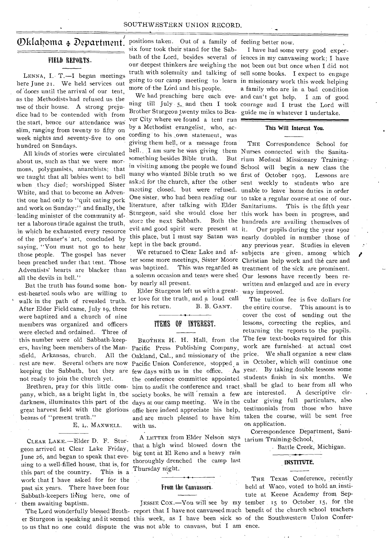# SOUTHWESTERN UNION RECORD.

# $\mathbf{Dklaboma}$  + Department. positions taken. Out of a family of feeling better now.

# FIELD REPORTS.

LENNA, I. T.-I began meetings here June 21. We held services out of doors until the arrival of our tent, as the Methodists had refused us the use of their house. A strong prejudice had to be contended with from the start, hence our attendance was slim, ranging from twenty to fifty on week nights and seventy-five to one hundred on Sundays.

All kinds of stories were circulated about us, such as that we were mormons, polygamists, anarchists; that we taught that all babies went to hell when they died; worshipped Sister White, and that to become an Adventist one had only to "quit eating pork and work on Sunday:" and finally, the leading minister of the community after a laborous tirade against the truth, in which he exhausted every resource of the profaner's art, concluded by saying, "You must not go to hear those people. The gospel has never been preached under that tent. Those Adventists' hearts are blacker than all the devils in hell."

But the truth has found some honest-hearted souls who are willing to walk in the path of revealed truth. After Elder Field came, July 19, three were baptized and a church of nine members was organized and officers were elected and ordained. Three of this number were old Sabbath-keepsfield, Arkansas, church. not ready to join the church yet.

Brethren, pray for this little company, which, as a bright light in the society books, he will remain a few are interested. A descriptive cirbeams of "present truth."

# E. L. MAXWELL.

CLEAR LAKE.—Elder D. F. Sturgeon arrived at Clear Lake Friday, June 26, and began to speak that evening to a well-filled house, that is, for this part of the country. This is a work that I have asked for for the past six years. There have been four Sabbath-keepers living here, one of them awaiting baptism.

six four took their stand for the Sabmore of the Lord and his people.

Brother Sturgeon twenty miles to Bea-guide me in whatever I undertake. ver City where we found a tent run by a Methodist evangelist, who, according to his own statement, was giving them hell, or a message from hell. I am sure he was giving them Nurses connected with the Sanitasomething besides Bible truth. store the next Sabbath. evil and good spirit were present at it. kept in the back ground.

We returned to Clear Lake and afby nearly all present.

Elder Sturgeon left us with a great-way improved. er love for the truth, and a loud call for his return. B. B. GANT.

# ITEMS OF INTEREST.

with us.

A LETTER from Elder Nelson says that a high wind blowed down the big tent at El Reno and a heavy rain thoroughly drenched the camp last Thursday night.•

# From the Canvassers.

The Lord wonderfully blessed Broth- report that I have not canvassed much benefit of the church school teachers er Sturgeon in speaking and it seemed this week, as I have been sick so of the Southwestern Union Conferto us that no one could dispute the was not able to canvass, but I am ence.

bath of the Lord, besides several of iences in my canvassing work; I have our deepest thinkers are weighing the not been out but once when I did not truth with solemnity and talking of sell some books. I expect to engage going to our camp meeting to learn in missionary work this week helping We had preaching here each eve-and can't get help. I am of good ning till July 5,. and then I took courage and I trust the Lord will I have had some very good expera family who are in a bad condition

## **This Will Interest You.**

in visiting among the people we found School will begin a new class the many who wanted Bible truth so we first of October 1903. Lessons are asked for the church, after the other sent weekly to students who are meeting closed, but were refused. unable to leave home duties in order One sister, who had been reading our to take a regular course at one of ourliterature, after talking with Elder Sanitariums. This is the fifth year Sturgeon, said she would close her this work has been in progress, and this place, but I must say Satan was nearly doubled in number those of ter some more meetings, Sister Moore Christian help work and the care and was baptized. This was regarded as treatment of the sick are prominent. a solemn occasion and tears were shed Our lessons have recently been re-THE Correspondence School for But rium Medical Missionary Training-Both the hundreds are availing themselves of Our pupils during the year 1902 any previous year. Studies in eleven subjects are • given, among which written and enlarged and are in every

ers, having been members of the Man-Pacific Press Publishing Company, work are furnished at actual cost rest are new. Several others are now Pacific Union Conference, stopped a in October, which will continue one keeping the Sabbath, but they are few days with us in the office. As year. By taking double lessons some darkness, illuminates this part of the days at our camp meeting. We in the cular giving full particulars, also great harvest field with the glorious offie here indeed appreciate his help, testimonials from those who have BROTHER H. H. Hall, from the The few text-books required for this Oakland, Cal., and missionary of the price. We shall organize a new class the conference committee appointed students finish in six months. We him to audit the conference and tract shall be glad to hear from all who and are much pleased to have him taken the course, will be sent free The tuition fee is five dollars for the entire course. This amount is to cover the cost of sending out the lessons, correcting the replies, and returning the reports to the pupils. on application.

> Correspondence Department, Sanitarium Training-School,.

> > • Battle Creek, Michigan.

# **INSTITUTE.**

THE Texas Conference, recently held at Waco, voted to hold an institute at Keene Academy from Sep-JESSIE COX.—You will see by my tember 15 to October 15, for the